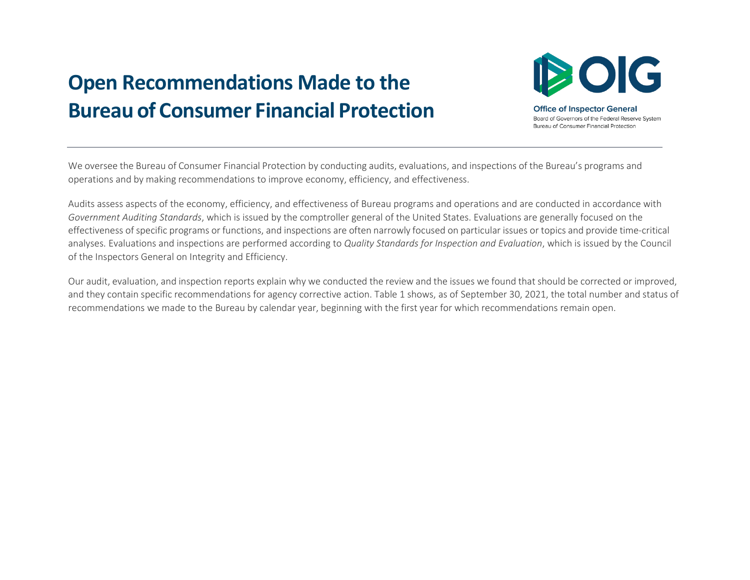## **Open Recommendations Made to the Bureau of Consumer Financial Protection**



**Office of Inspector General** Board of Governors of the Federal Reserve System Bureau of Consumer Financial Protection

We oversee the Bureau of Consumer Financial Protection by conducting audits, evaluations, and inspections of the Bureau's programs and operations and by making recommendations to improve economy, efficiency, and effectiveness.

Audits assess aspects of the economy, efficiency, and effectiveness of Bureau programs and operations and are conducted in accordance with *Government Auditing Standards*, which is issued by the comptroller general of the United States. Evaluations are generally focused on the effectiveness of specific programs or functions, and inspections are often narrowly focused on particular issues or topics and provide time-critical analyses. Evaluations and inspections are performed according to *Quality Standards for Inspection and Evaluation*, which is issued by the Council of the Inspectors General on Integrity and Efficiency.

Our audit, evaluation, and inspection reports explain why we conducted the review and the issues we found that should be corrected or improved, and they contain specific recommendations for agency corrective action. Table 1 shows, as of September 30, 2021, the total number and status of recommendations we made to the Bureau by calendar year, beginning with the first year for which recommendations remain open.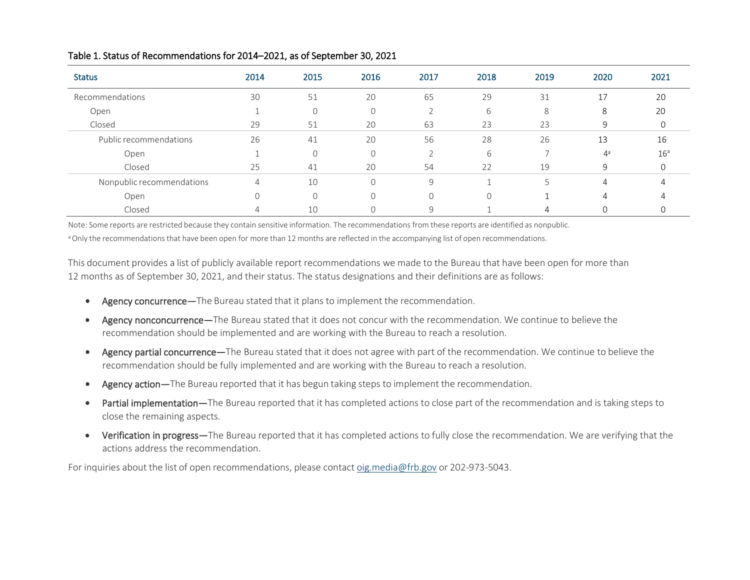| <b>Status</b>             | 2014 | 2015     | 2016     | 2017         | 2018     | 2019 | 2020           | 2021            |
|---------------------------|------|----------|----------|--------------|----------|------|----------------|-----------------|
| Recommendations           | 30   | 51       | 20       | 65           | 29       | 31   | 17             | 20              |
| Open                      |      |          | $\Omega$ |              | 6        | 8    | 8              | 20              |
| Closed                    | 29   | 51       | 20       | 63           | 23       | 23   | 9              |                 |
| Public recommendations    | 26   | 41       | 20       | 56           | 28       | 26   | 13             | 16              |
| Open                      |      | $\Omega$ | $\Omega$ |              | 6        |      | 4а             | 16 <sup>a</sup> |
| Closed                    | 25   | 41       | 20       | 54           | 22       | 19   | 9              |                 |
| Nonpublic recommendations | 4    | 10       | $\Omega$ | 9            |          |      | $\overline{4}$ |                 |
| Open                      |      | $\Omega$ | $\Omega$ | $\Omega$     | $\Omega$ |      | $\overline{4}$ |                 |
| Closed                    | 4    | 10       |          | $\mathsf{q}$ |          | 4    |                |                 |

## Table 1. Status of Recommendations for 2014–2021, as of September 30, 2021

Note: Some reports are restricted because they contain sensitive information. The recommendations from these reports are identified as nonpublic.

a Only the recommendations that have been open for more than 12 months are reflected in the accompanying list of open recommendations.

This document provides a list of publicly available report recommendations we made to the Bureau that have been open for more than 12 months as of September 30, 2021, and their status. The status designations and their definitions are as follows:

- Agency concurrence—The Bureau stated that it plans to implement the recommendation.
- Agency nonconcurrence—The Bureau stated that it does not concur with the recommendation. We continue to believe the recommendation should be implemented and are working with the Bureau to reach a resolution.
- Agency partial concurrence—The Bureau stated that it does not agree with part of the recommendation. We continue to believe the recommendation should be fully implemented and are working with the Bureau to reach a resolution.
- Agency action—The Bureau reported that it has begun taking steps to implement the recommendation.
- Partial implementation—The Bureau reported that it has completed actions to close part of the recommendation and is taking steps to close the remaining aspects.
- Verification in progress—The Bureau reported that it has completed actions to fully close the recommendation. We are verifying that the actions address the recommendation.

For inquiries about the list of open recommendations, please contac[t oig.media@frb.gov o](mailto:oig.media@frb.gov)r 202-973-5043.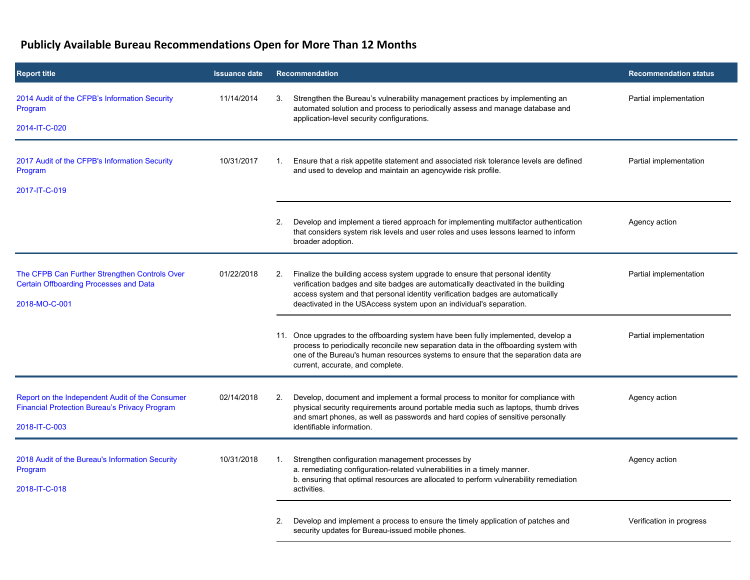## **Publicly Available Bureau Recommendations Open for More Than 12 Months**

| <b>Report title</b>                                                                                                      | <b>Issuance date</b> | Recommendation                                                                                                                                                                                                                                                                                                                   | <b>Recommendation status</b> |
|--------------------------------------------------------------------------------------------------------------------------|----------------------|----------------------------------------------------------------------------------------------------------------------------------------------------------------------------------------------------------------------------------------------------------------------------------------------------------------------------------|------------------------------|
| 2014 Audit of the CFPB's Information Security<br>Program<br>2014-IT-C-020                                                | 11/14/2014           | Strengthen the Bureau's vulnerability management practices by implementing an<br>3.<br>automated solution and process to periodically assess and manage database and<br>application-level security configurations.                                                                                                               | Partial implementation       |
|                                                                                                                          |                      |                                                                                                                                                                                                                                                                                                                                  |                              |
| 2017 Audit of the CFPB's Information Security<br>Program                                                                 | 10/31/2017           | Ensure that a risk appetite statement and associated risk tolerance levels are defined<br>1.<br>and used to develop and maintain an agencywide risk profile.                                                                                                                                                                     | Partial implementation       |
| 2017-IT-C-019                                                                                                            |                      |                                                                                                                                                                                                                                                                                                                                  |                              |
|                                                                                                                          |                      | Develop and implement a tiered approach for implementing multifactor authentication<br>2.<br>that considers system risk levels and user roles and uses lessons learned to inform<br>broader adoption.                                                                                                                            | Agency action                |
| The CFPB Can Further Strengthen Controls Over<br><b>Certain Offboarding Processes and Data</b><br>2018-MO-C-001          | 01/22/2018           | Finalize the building access system upgrade to ensure that personal identity<br>2.<br>verification badges and site badges are automatically deactivated in the building<br>access system and that personal identity verification badges are automatically<br>deactivated in the USAccess system upon an individual's separation. | Partial implementation       |
|                                                                                                                          |                      | 11. Once upgrades to the offboarding system have been fully implemented, develop a<br>process to periodically reconcile new separation data in the offboarding system with<br>one of the Bureau's human resources systems to ensure that the separation data are<br>current, accurate, and complete.                             | Partial implementation       |
| Report on the Independent Audit of the Consumer<br><b>Financial Protection Bureau's Privacy Program</b><br>2018-IT-C-003 | 02/14/2018           | Develop, document and implement a formal process to monitor for compliance with<br>2.<br>physical security requirements around portable media such as laptops, thumb drives<br>and smart phones, as well as passwords and hard copies of sensitive personally<br>identifiable information.                                       | Agency action                |
| 2018 Audit of the Bureau's Information Security<br>Program<br>2018-IT-C-018                                              | 10/31/2018           | Strengthen configuration management processes by<br>$\mathbf{1}$ .<br>a. remediating configuration-related vulnerabilities in a timely manner.<br>b. ensuring that optimal resources are allocated to perform vulnerability remediation<br>activities.                                                                           | Agency action                |
|                                                                                                                          |                      | Develop and implement a process to ensure the timely application of patches and<br>2.<br>security updates for Bureau-issued mobile phones.                                                                                                                                                                                       | Verification in progress     |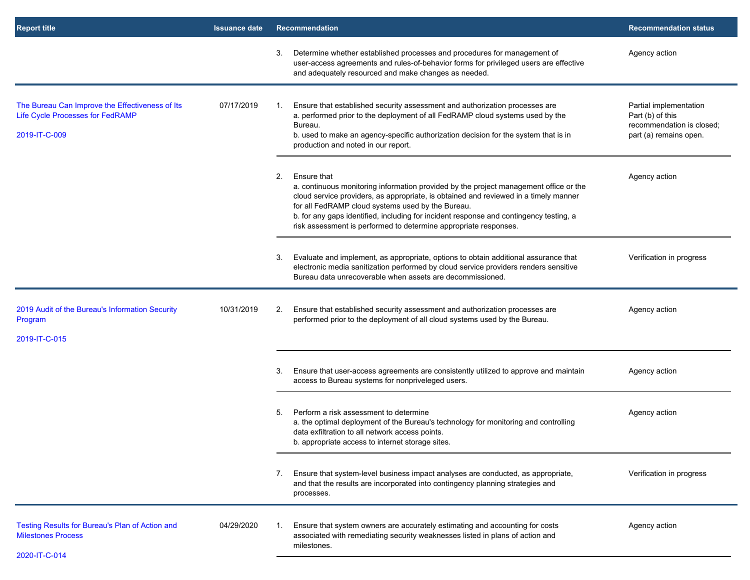| <b>Report title</b>                                                                                         | <b>Issuance date</b> | <b>Recommendation</b>                                                                                                                                                                                                                                                                                                                                                                                                 | <b>Recommendation status</b>                                                                      |
|-------------------------------------------------------------------------------------------------------------|----------------------|-----------------------------------------------------------------------------------------------------------------------------------------------------------------------------------------------------------------------------------------------------------------------------------------------------------------------------------------------------------------------------------------------------------------------|---------------------------------------------------------------------------------------------------|
|                                                                                                             |                      | Determine whether established processes and procedures for management of<br>3.<br>user-access agreements and rules-of-behavior forms for privileged users are effective<br>and adequately resourced and make changes as needed.                                                                                                                                                                                       | Agency action                                                                                     |
| The Bureau Can Improve the Effectiveness of Its<br><b>Life Cycle Processes for FedRAMP</b><br>2019-IT-C-009 | 07/17/2019           | Ensure that established security assessment and authorization processes are<br>1.<br>a. performed prior to the deployment of all FedRAMP cloud systems used by the<br>Bureau.<br>b. used to make an agency-specific authorization decision for the system that is in<br>production and noted in our report.                                                                                                           | Partial implementation<br>Part (b) of this<br>recommendation is closed;<br>part (a) remains open. |
|                                                                                                             |                      | 2.<br>Ensure that<br>a. continuous monitoring information provided by the project management office or the<br>cloud service providers, as appropriate, is obtained and reviewed in a timely manner<br>for all FedRAMP cloud systems used by the Bureau.<br>b. for any gaps identified, including for incident response and contingency testing, a<br>risk assessment is performed to determine appropriate responses. | Agency action                                                                                     |
|                                                                                                             |                      | Evaluate and implement, as appropriate, options to obtain additional assurance that<br>3.<br>electronic media sanitization performed by cloud service providers renders sensitive<br>Bureau data unrecoverable when assets are decommissioned.                                                                                                                                                                        | Verification in progress                                                                          |
| 2019 Audit of the Bureau's Information Security<br>Program<br>2019-IT-C-015                                 | 10/31/2019           | Ensure that established security assessment and authorization processes are<br>2.<br>performed prior to the deployment of all cloud systems used by the Bureau.                                                                                                                                                                                                                                                       | Agency action                                                                                     |
|                                                                                                             |                      | Ensure that user-access agreements are consistently utilized to approve and maintain<br>3.<br>access to Bureau systems for nonpriveleged users.                                                                                                                                                                                                                                                                       | Agency action                                                                                     |
|                                                                                                             |                      | Perform a risk assessment to determine<br>5.<br>a. the optimal deployment of the Bureau's technology for monitoring and controlling<br>data exfiltration to all network access points.<br>b. appropriate access to internet storage sites.                                                                                                                                                                            | Agency action                                                                                     |
|                                                                                                             |                      | Ensure that system-level business impact analyses are conducted, as appropriate,<br>7.<br>and that the results are incorporated into contingency planning strategies and<br>processes.                                                                                                                                                                                                                                | Verification in progress                                                                          |
| Testing Results for Bureau's Plan of Action and<br><b>Milestones Process</b><br>2020-IT-C-014               | 04/29/2020           | Ensure that system owners are accurately estimating and accounting for costs<br>associated with remediating security weaknesses listed in plans of action and<br>milestones.                                                                                                                                                                                                                                          | Agency action                                                                                     |
|                                                                                                             |                      |                                                                                                                                                                                                                                                                                                                                                                                                                       |                                                                                                   |